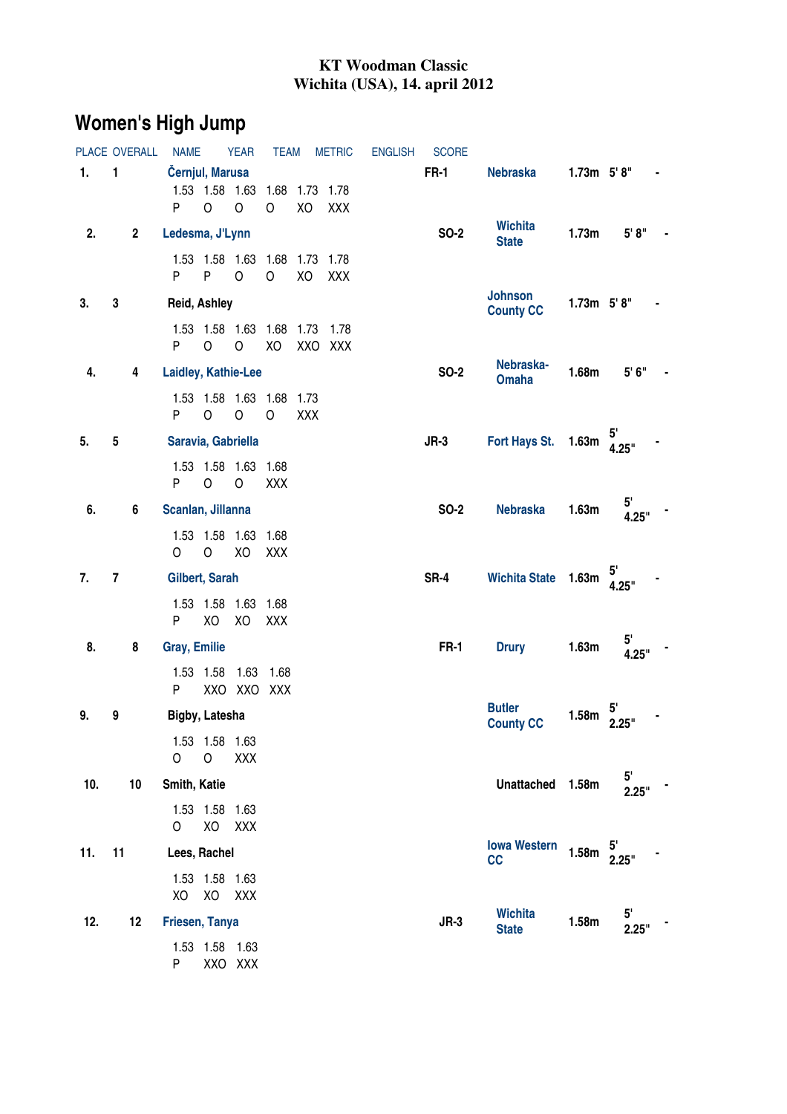## **KT Woodman Classic Wichita (USA), 14. april 2012**

## **Women's High Jump**

| PLACE OVERALL |                |                | <b>NAME</b>          |                      | <b>YEAR</b>                    | <b>TEAM</b>                                   |     | <b>METRIC</b>   | <b>ENGLISH</b> | <b>SCORE</b> |                                    |                 |                         |  |
|---------------|----------------|----------------|----------------------|----------------------|--------------------------------|-----------------------------------------------|-----|-----------------|----------------|--------------|------------------------------------|-----------------|-------------------------|--|
| 1.            | 1              |                | Černjul, Marusa<br>P | $\circ$              | $\circ$                        | 1.53  1.58  1.63  1.68  1.73  1.78<br>$\circ$ | XO  | XXX             |                | <b>FR-1</b>  | <b>Nebraska</b>                    | $1.73m$ $5'8''$ |                         |  |
| 2.            |                | $\mathbf{2}$   | Ledesma, J'Lynn      |                      |                                |                                               |     |                 |                | <b>SO-2</b>  | <b>Wichita</b><br><b>State</b>     | 1.73m           | 5' 8''                  |  |
|               |                |                | P =                  | P <sub>1</sub>       | $\circ$                        | 1.53  1.58  1.63  1.68  1.73  1.78<br>$\circ$ | XO  | XXX             |                |              |                                    |                 |                         |  |
| 3.            | 3              |                | Reid, Ashley         |                      |                                |                                               |     |                 |                |              | <b>Johnson</b><br><b>County CC</b> | $1.73m$ $5'8''$ |                         |  |
|               |                |                | P.                   | $\circ$              | $\circ$                        | 1.53 1.58 1.63 1.68 1.73<br>XO                |     | 1.78<br>XXO XXX |                |              |                                    |                 |                         |  |
| 4.            |                | 4              | Laidley, Kathie-Lee  |                      |                                |                                               |     |                 |                | <b>SO-2</b>  | Nebraska-<br><b>Omaha</b>          | 1.68m           | 5'6''                   |  |
|               |                |                | P                    | $\circ$              | $\circ$                        | 1.53  1.58  1.63  1.68  1.73<br>$\circ$       | XXX |                 |                |              |                                    |                 |                         |  |
| 5.            | 5              |                | Saravia, Gabriella   |                      |                                |                                               |     |                 |                | $JR-3$       | Fort Hays St.                      | 1.63m           | 4.25"                   |  |
|               |                |                | P                    | $\circ$              | 1.53 1.58 1.63 1.68<br>$\circ$ | XXX                                           |     |                 |                |              |                                    |                 |                         |  |
| 6.            |                | $6\phantom{a}$ | Scanlan, Jillanna    |                      |                                |                                               |     |                 |                | <b>SO-2</b>  | <b>Nebraska</b>                    | 1.63m           | 5 <sup>1</sup><br>4.25" |  |
|               |                |                | 0                    | $\circ$              | 1.53 1.58 1.63 1.68<br>XO      | XXX                                           |     |                 |                |              |                                    |                 |                         |  |
| 7.            | $\overline{7}$ |                | Gilbert, Sarah       |                      |                                |                                               |     |                 |                | SR-4         | Wichita State 1.63m                |                 | 4.25"                   |  |
|               |                |                | P.                   | XO                   | 1.53 1.58 1.63 1.68<br>XO      | XXX                                           |     |                 |                |              |                                    |                 |                         |  |
| 8.            |                | 8              | <b>Gray, Emilie</b>  |                      |                                |                                               |     |                 |                | <b>FR-1</b>  | <b>Drury</b>                       | 1.63m           | $5^{\circ}$<br>4.25"    |  |
|               |                |                | P.                   | 1.53 1.58            | 1.63 1.68<br>XXO XXO XXX       |                                               |     |                 |                |              |                                    |                 |                         |  |
| 9.<br>9       |                |                | Bigby, Latesha       |                      |                                |                                               |     |                 |                |              | <b>Butler</b><br><b>County CC</b>  | 1.58m           | 2.25"                   |  |
|               |                |                | O                    | 1.53 1.58 1.63<br>0  | XXX                            |                                               |     |                 |                |              |                                    |                 |                         |  |
| 10.           |                | 10             | Smith, Katie         |                      |                                |                                               |     |                 |                |              | Unattached 1.58m                   |                 | $5^{\circ}$<br>2.25"    |  |
|               |                |                | 0                    | 1.53 1.58 1.63       | XO XXX                         |                                               |     |                 |                |              |                                    |                 |                         |  |
| 11<br>11.     |                |                | Lees, Rachel         |                      |                                |                                               |     |                 |                |              | <b>Iowa Western</b><br>cc          | 1.58m           | 2.25"                   |  |
|               |                |                | XO                   | 1.53 1.58 1.63<br>XO | XXX                            |                                               |     |                 |                |              |                                    |                 |                         |  |
| 12.           |                | 12             | Friesen, Tanya       |                      |                                |                                               |     |                 |                | $JR-3$       | <b>Wichita</b><br><b>State</b>     | 1.58m           | 5'<br>2.25"             |  |
|               |                |                | P                    | 1.53 1.58 1.63       | XXO XXX                        |                                               |     |                 |                |              |                                    |                 |                         |  |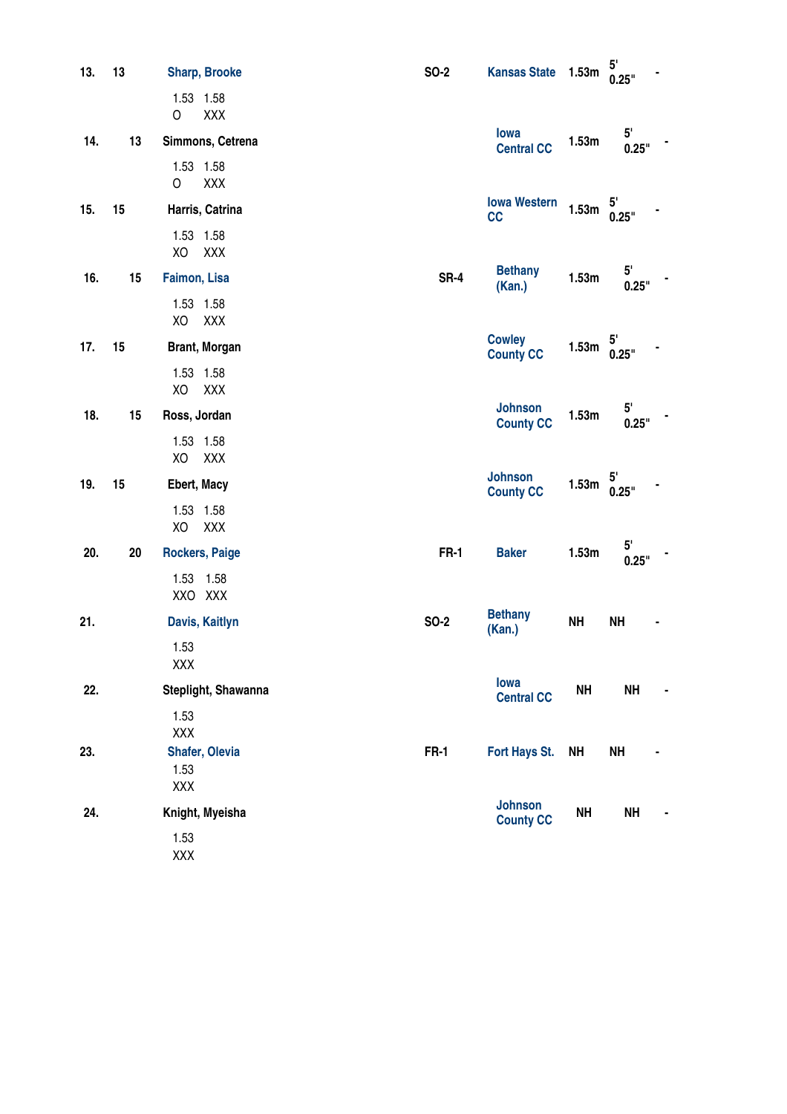| 13.       | 13 | <b>Sharp, Brooke</b>                 | <b>SO-2</b> | <b>Kansas State</b>                | 1.53m     | 5'<br>0.25"           |
|-----------|----|--------------------------------------|-------------|------------------------------------|-----------|-----------------------|
|           |    | 1.53 1.58<br><b>XXX</b><br>O         |             |                                    |           |                       |
| 13<br>14. |    | Simmons, Cetrena                     |             | lowa<br><b>Central CC</b>          | 1.53m     | 5'<br>0.25"           |
|           |    | 1.53 1.58<br>O<br>XXX                |             |                                    |           |                       |
| 15.<br>15 |    | Harris, Catrina                      |             | <b>Iowa Western</b><br>cc          | 1.53m     | 5'<br>0.25"           |
|           |    | 1.53 1.58<br>XO<br>XXX               |             |                                    |           |                       |
| 16.       | 15 | Faimon, Lisa                         | <b>SR-4</b> | <b>Bethany</b><br>(Kan.)           | 1.53m     | 5'<br>0.25"           |
|           |    | 1.53 1.58<br>XO<br>XXX               |             |                                    |           |                       |
| 17.       | 15 | Brant, Morgan                        |             | <b>Cowley</b><br><b>County CC</b>  | 1.53m     | 0.25"                 |
|           |    | 1.53 1.58<br>XO<br>XXX               |             |                                    |           |                       |
| 18.<br>15 |    | Ross, Jordan                         |             | <b>Johnson</b><br><b>County CC</b> | 1.53m     | 5'<br>0.25"           |
|           |    | 1.53 1.58<br>XO<br>XXX               |             |                                    |           |                       |
| 19.       | 15 | Ebert, Macy                          |             | <b>Johnson</b><br><b>County CC</b> | 1.53m     | $5^{\prime}$<br>0.25" |
|           |    | 1.53 1.58<br>XO<br><b>XXX</b>        |             |                                    |           |                       |
| 20.       | 20 | <b>Rockers, Paige</b>                | <b>FR-1</b> | <b>Baker</b>                       | 1.53m     | 5'<br>0.25"           |
|           |    | 1.53 1.58<br>XXO XXX                 |             |                                    |           |                       |
| 21.       |    | Davis, Kaitlyn                       | <b>SO-2</b> | <b>Bethany</b><br>(Kan.)           | <b>NH</b> | <b>NH</b>             |
|           |    | 1.53<br>XXX                          |             |                                    |           |                       |
| 22.       |    | Steplight, Shawanna                  |             | lowa<br><b>Central CC</b>          | <b>NH</b> | <b>NH</b>             |
|           |    | 1.53<br>XXX                          |             |                                    |           |                       |
| 23.       |    | <b>Shafer, Olevia</b><br>1.53<br>XXX | <b>FR-1</b> | Fort Hays St.                      | <b>NH</b> | <b>NH</b>             |
| 24.       |    | Knight, Myeisha                      |             | <b>Johnson</b><br><b>County CC</b> | <b>NH</b> | <b>NH</b>             |
|           |    | 1.53<br>XXX                          |             |                                    |           |                       |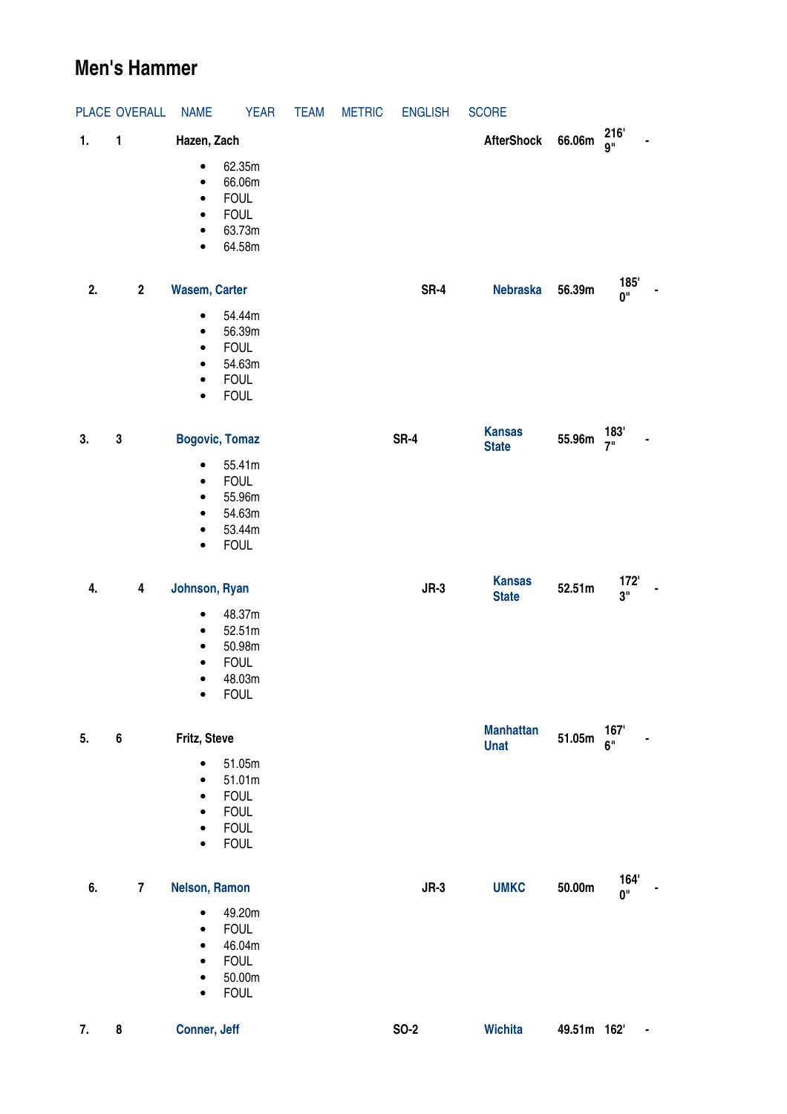## **Men's Hammer**

|    | PLACE OVERALL           | <b>NAME</b>                                                                | <b>YEAR</b>                                                                  | <b>TEAM</b> | <b>METRIC</b> | <b>ENGLISH</b> | <b>SCORE</b>                    |             |                        |
|----|-------------------------|----------------------------------------------------------------------------|------------------------------------------------------------------------------|-------------|---------------|----------------|---------------------------------|-------------|------------------------|
| 1. | 1                       | Hazen, Zach                                                                |                                                                              |             |               |                | <b>AfterShock</b>               | 66.06m      | 216'<br><b>g</b> "     |
|    |                         | $\bullet$<br>$\bullet$<br>$\bullet$<br>$\bullet$<br>$\bullet$<br>$\bullet$ | 62.35m<br>66.06m<br><b>FOUL</b><br><b>FOUL</b><br>63.73m<br>64.58m           |             |               |                |                                 |             |                        |
| 2. | $\overline{\mathbf{2}}$ | <b>Wasem, Carter</b>                                                       |                                                                              |             |               | SR-4           | <b>Nebraska</b>                 | 56.39m      | 185'<br>0"             |
|    |                         | $\bullet$<br>$\bullet$<br>$\bullet$<br>$\bullet$<br>$\bullet$<br>$\bullet$ | 54.44m<br>56.39m<br><b>FOUL</b><br>54.63m<br><b>FOUL</b><br><b>FOUL</b>      |             |               |                |                                 |             |                        |
| 3. | ${\bf 3}$               |                                                                            | <b>Bogovic, Tomaz</b>                                                        |             |               | <b>SR-4</b>    | <b>Kansas</b><br><b>State</b>   | 55.96m      | 183'<br>7 <sup>0</sup> |
|    |                         | $\bullet$<br>$\bullet$<br>$\bullet$<br>$\bullet$<br>$\bullet$<br>$\bullet$ | 55.41m<br><b>FOUL</b><br>55.96m<br>54.63m<br>53.44m<br><b>FOUL</b>           |             |               |                |                                 |             |                        |
| 4. | 4                       | Johnson, Ryan                                                              |                                                                              |             |               | $JR-3$         | <b>Kansas</b><br><b>State</b>   | 52.51m      | 172'<br>3"             |
|    |                         | $\bullet$<br>$\bullet$<br>$\bullet$<br>$\bullet$<br>٠<br>$\bullet$         | 48.37m<br>52.51m<br>50.98m<br><b>FOUL</b><br>48.03m<br><b>FOUL</b>           |             |               |                |                                 |             |                        |
| 5. | $\bf 6$                 | Fritz, Steve                                                               |                                                                              |             |               |                | <b>Manhattan</b><br><b>Unat</b> | 51.05m      | 167'<br>6"             |
|    |                         | $\bullet$<br>$\bullet$<br>$\bullet$<br>$\bullet$<br>$\bullet$<br>$\bullet$ | 51.05m<br>51.01m<br><b>FOUL</b><br><b>FOUL</b><br><b>FOUL</b><br><b>FOUL</b> |             |               |                |                                 |             |                        |
| 6. | $\overline{7}$          | Nelson, Ramon                                                              |                                                                              |             |               | $JR-3$         | <b>UMKC</b>                     | 50.00m      | 164'<br>0"             |
|    |                         | $\bullet$<br>$\bullet$<br>$\bullet$<br>$\bullet$<br>$\bullet$<br>$\bullet$ | 49.20m<br><b>FOUL</b><br>46.04m<br><b>FOUL</b><br>50.00m<br><b>FOUL</b>      |             |               |                |                                 |             |                        |
| 7. | 8                       | Conner, Jeff                                                               |                                                                              |             |               | <b>SO-2</b>    | <b>Wichita</b>                  | 49.51m 162' |                        |